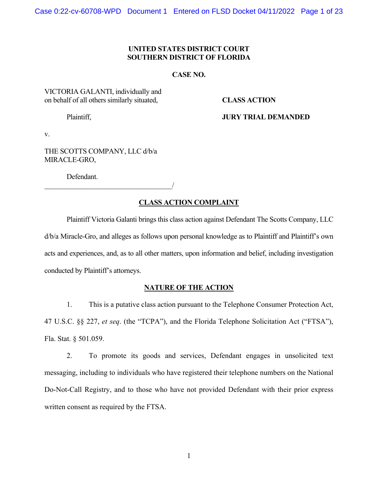## **UNITED STATES DISTRICT COURT SOUTHERN DISTRICT OF FLORIDA**

## **CASE NO.**

VICTORIA GALANTI, individually and on behalf of all others similarly situated, **CLASS ACTION**

Plaintiff, **JURY TRIAL DEMANDED** 

v.

THE SCOTTS COMPANY, LLC d/b/a MIRACLE-GRO,

\_\_\_\_\_\_\_\_\_\_\_\_\_\_\_\_\_\_\_\_\_\_\_\_\_\_\_\_\_\_\_\_\_\_\_\_/

Defendant.

# **CLASS ACTION COMPLAINT**

Plaintiff Victoria Galanti brings this class action against Defendant The Scotts Company, LLC d/b/a Miracle-Gro, and alleges as follows upon personal knowledge as to Plaintiff and Plaintiff's own acts and experiences, and, as to all other matters, upon information and belief, including investigation conducted by Plaintiff's attorneys.

## **NATURE OF THE ACTION**

1. This is a putative class action pursuant to the Telephone Consumer Protection Act, 47 U.S.C. §§ 227, *et seq*. (the "TCPA"), and the Florida Telephone Solicitation Act ("FTSA"), Fla. Stat. § 501.059.

2. To promote its goods and services, Defendant engages in unsolicited text messaging, including to individuals who have registered their telephone numbers on the National Do-Not-Call Registry, and to those who have not provided Defendant with their prior express written consent as required by the FTSA.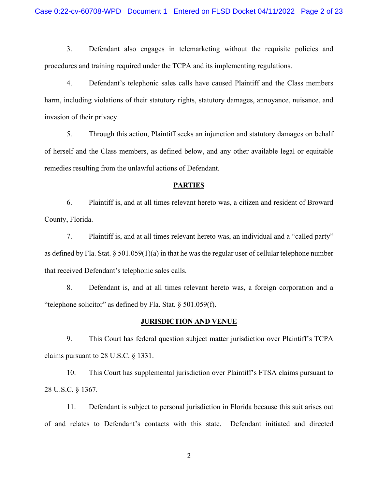3. Defendant also engages in telemarketing without the requisite policies and procedures and training required under the TCPA and its implementing regulations.

4. Defendant's telephonic sales calls have caused Plaintiff and the Class members harm, including violations of their statutory rights, statutory damages, annoyance, nuisance, and invasion of their privacy.

5. Through this action, Plaintiff seeks an injunction and statutory damages on behalf of herself and the Class members, as defined below, and any other available legal or equitable remedies resulting from the unlawful actions of Defendant.

### **PARTIES**

6. Plaintiff is, and at all times relevant hereto was, a citizen and resident of Broward County, Florida.

7. Plaintiff is, and at all times relevant hereto was, an individual and a "called party" as defined by Fla. Stat. § 501.059(1)(a) in that he was the regular user of cellular telephone number that received Defendant's telephonic sales calls.

8. Defendant is, and at all times relevant hereto was, a foreign corporation and a "telephone solicitor" as defined by Fla. Stat. § 501.059(f).

## **JURISDICTION AND VENUE**

9. This Court has federal question subject matter jurisdiction over Plaintiff's TCPA claims pursuant to 28 U.S.C. § 1331.

10. This Court has supplemental jurisdiction over Plaintiff's FTSA claims pursuant to 28 U.S.C. § 1367.

11. Defendant is subject to personal jurisdiction in Florida because this suit arises out of and relates to Defendant's contacts with this state. Defendant initiated and directed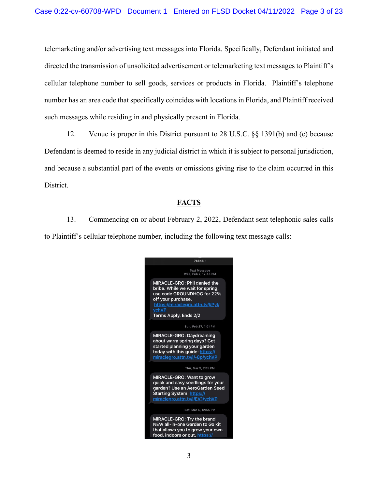telemarketing and/or advertising text messages into Florida. Specifically, Defendant initiated and directed the transmission of unsolicited advertisement or telemarketing text messages to Plaintiff's cellular telephone number to sell goods, services or products in Florida. Plaintiff's telephone number has an area code that specifically coincides with locations in Florida, and Plaintiff received such messages while residing in and physically present in Florida.

12. Venue is proper in this District pursuant to 28 U.S.C. §§ 1391(b) and (c) because Defendant is deemed to reside in any judicial district in which it is subject to personal jurisdiction, and because a substantial part of the events or omissions giving rise to the claim occurred in this District.

### **FACTS**

13. Commencing on or about February 2, 2022, Defendant sent telephonic sales calls to Plaintiff's cellular telephone number, including the following text message calls:

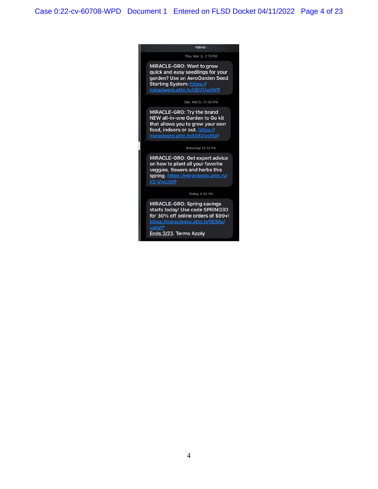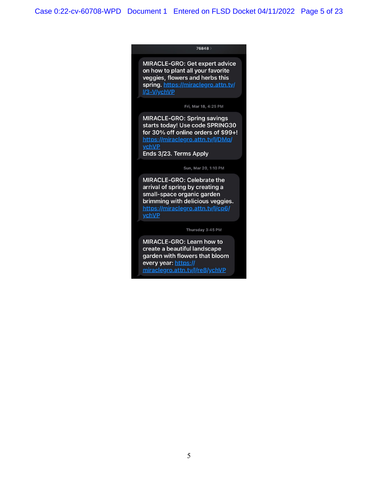76848

MIRACLE-GRO: Get expert advice on how to plant all your favorite veggies, flowers and herbs this spring. https://miraclegro.attn.tv/ I/3-V/ychVP

Fri, Mar 18, 4:25 PM

MIRACLE-GRO: Spring savings starts today! Use code SPRING30 for 30% off online orders of \$99+! https://miraclegro.attn.tv/l/DMq/ ychVP

Ends 3/23. Terms Apply

Sun, Mar 20, 1:10 PM

MIRACLE-GRO: Celebrate the arrival of spring by creating a small-space organic garden brimming with delicious veggies. https://miraclegro.attn.tv/l/cp6/ ychVP

Thursday 3:45 PM

MIRACLE-GRO: Learn how to create a beautiful landscape garden with flowers that bloom every year: https:// miraclegro.attn.tv/l/re8/ychVP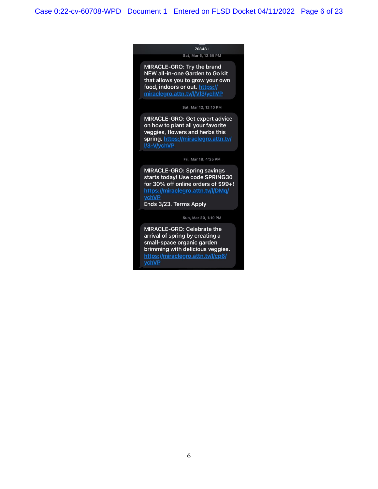76848 Sat, Mar 5, 12:55 PM

MIRACLE-GRO: Try the brand NEW all-in-one Garden to Go kit that allows you to grow your own food, indoors or out. https:// miraclegro.attn.tv/l/VI3/ychVP

Sat, Mar 12, 12:10 PM

MIRACLE-GRO: Get expert advice on how to plant all your favorite veggies, flowers and herbs this spring. https://miraclegro.attn.tv/ I/3-V/ychVP

Fri, Mar 18, 4:25 PM

**MIRACLE-GRO: Spring savings** starts today! Use code SPRING30 for 30% off online orders of \$99+! https://miraclegro.attn.tv/J/DMq/ ychVP Ends 3/23. Terms Apply

Sun, Mar 20, 1:10 PM

MIRACLE-GRO: Celebrate the arrival of spring by creating a small-space organic garden brimming with delicious veggies. https://miraclegro.attn.tv/l/cp6/ ychVP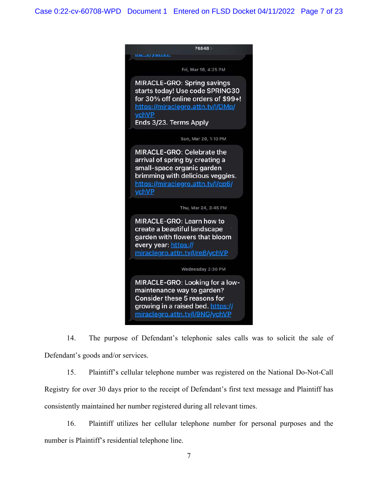

14. The purpose of Defendant's telephonic sales calls was to solicit the sale of Defendant's goods and/or services.

15. Plaintiff's cellular telephone number was registered on the National Do-Not-Call Registry for over 30 days prior to the receipt of Defendant's first text message and Plaintiff has consistently maintained her number registered during all relevant times.

16. Plaintiff utilizes her cellular telephone number for personal purposes and the number is Plaintiff's residential telephone line.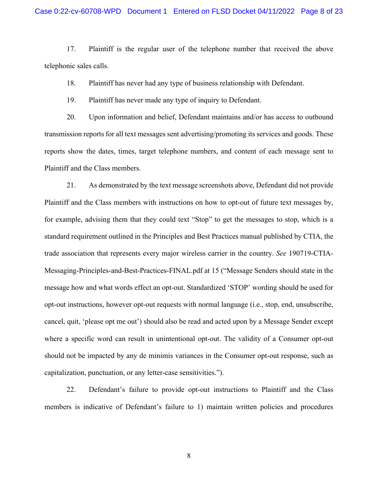17. Plaintiff is the regular user of the telephone number that received the above telephonic sales calls.

18. Plaintiff has never had any type of business relationship with Defendant.

19. Plaintiff has never made any type of inquiry to Defendant.

20. Upon information and belief, Defendant maintains and/or has access to outbound transmission reports for all text messages sent advertising/promoting its services and goods. These reports show the dates, times, target telephone numbers, and content of each message sent to Plaintiff and the Class members.

21. As demonstrated by the text message screenshots above, Defendant did not provide Plaintiff and the Class members with instructions on how to opt-out of future text messages by, for example, advising them that they could text "Stop" to get the messages to stop, which is a standard requirement outlined in the Principles and Best Practices manual published by CTIA, the trade association that represents every major wireless carrier in the country. *See* 190719-CTIA-Messaging-Principles-and-Best-Practices-FINAL.pdf at 15 ("Message Senders should state in the message how and what words effect an opt-out. Standardized 'STOP' wording should be used for opt-out instructions, however opt-out requests with normal language (i.e., stop, end, unsubscribe, cancel, quit, 'please opt me out') should also be read and acted upon by a Message Sender except where a specific word can result in unintentional opt-out. The validity of a Consumer opt-out should not be impacted by any de minimis variances in the Consumer opt-out response, such as capitalization, punctuation, or any letter-case sensitivities.").

22. Defendant's failure to provide opt-out instructions to Plaintiff and the Class members is indicative of Defendant's failure to 1) maintain written policies and procedures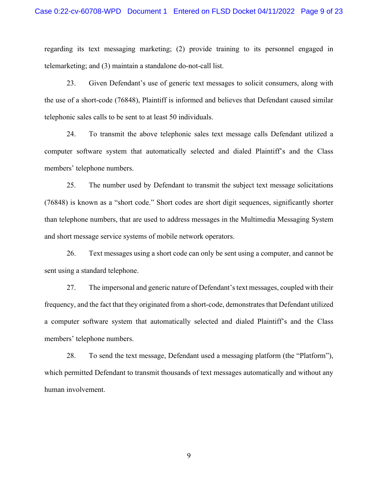regarding its text messaging marketing; (2) provide training to its personnel engaged in telemarketing; and (3) maintain a standalone do-not-call list.

23. Given Defendant's use of generic text messages to solicit consumers, along with the use of a short-code (76848), Plaintiff is informed and believes that Defendant caused similar telephonic sales calls to be sent to at least 50 individuals.

24. To transmit the above telephonic sales text message calls Defendant utilized a computer software system that automatically selected and dialed Plaintiff's and the Class members' telephone numbers.

25. The number used by Defendant to transmit the subject text message solicitations (76848) is known as a "short code." Short codes are short digit sequences, significantly shorter than telephone numbers, that are used to address messages in the Multimedia Messaging System and short message service systems of mobile network operators.

26. Text messages using a short code can only be sent using a computer, and cannot be sent using a standard telephone.

27. The impersonal and generic nature of Defendant's text messages, coupled with their frequency, and the fact that they originated from a short-code, demonstrates that Defendant utilized a computer software system that automatically selected and dialed Plaintiff's and the Class members' telephone numbers.

28. To send the text message, Defendant used a messaging platform (the "Platform"), which permitted Defendant to transmit thousands of text messages automatically and without any human involvement.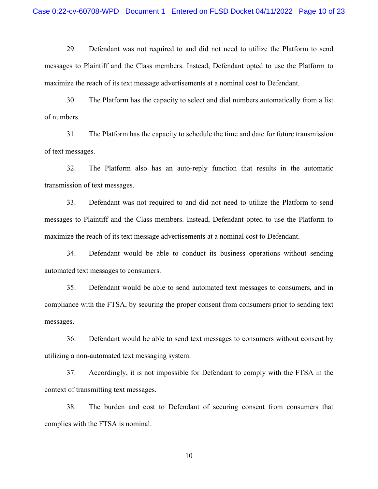29. Defendant was not required to and did not need to utilize the Platform to send messages to Plaintiff and the Class members. Instead, Defendant opted to use the Platform to maximize the reach of its text message advertisements at a nominal cost to Defendant.

30. The Platform has the capacity to select and dial numbers automatically from a list of numbers.

31. The Platform has the capacity to schedule the time and date for future transmission of text messages.

32. The Platform also has an auto-reply function that results in the automatic transmission of text messages.

33. Defendant was not required to and did not need to utilize the Platform to send messages to Plaintiff and the Class members. Instead, Defendant opted to use the Platform to maximize the reach of its text message advertisements at a nominal cost to Defendant.

34. Defendant would be able to conduct its business operations without sending automated text messages to consumers.

35. Defendant would be able to send automated text messages to consumers, and in compliance with the FTSA, by securing the proper consent from consumers prior to sending text messages.

36. Defendant would be able to send text messages to consumers without consent by utilizing a non-automated text messaging system.

37. Accordingly, it is not impossible for Defendant to comply with the FTSA in the context of transmitting text messages.

38. The burden and cost to Defendant of securing consent from consumers that complies with the FTSA is nominal.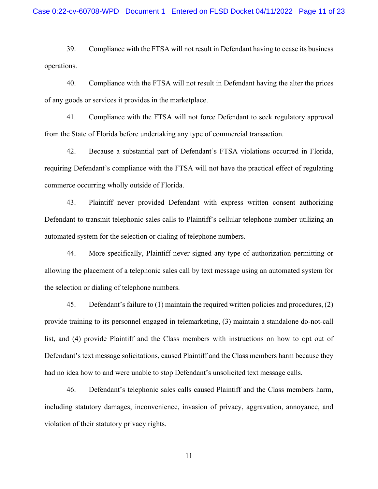39. Compliance with the FTSA will not result in Defendant having to cease its business operations.

40. Compliance with the FTSA will not result in Defendant having the alter the prices of any goods or services it provides in the marketplace.

41. Compliance with the FTSA will not force Defendant to seek regulatory approval from the State of Florida before undertaking any type of commercial transaction.

42. Because a substantial part of Defendant's FTSA violations occurred in Florida, requiring Defendant's compliance with the FTSA will not have the practical effect of regulating commerce occurring wholly outside of Florida.

43. Plaintiff never provided Defendant with express written consent authorizing Defendant to transmit telephonic sales calls to Plaintiff's cellular telephone number utilizing an automated system for the selection or dialing of telephone numbers.

44. More specifically, Plaintiff never signed any type of authorization permitting or allowing the placement of a telephonic sales call by text message using an automated system for the selection or dialing of telephone numbers.

45. Defendant's failure to (1) maintain the required written policies and procedures, (2) provide training to its personnel engaged in telemarketing, (3) maintain a standalone do-not-call list, and (4) provide Plaintiff and the Class members with instructions on how to opt out of Defendant's text message solicitations, caused Plaintiff and the Class members harm because they had no idea how to and were unable to stop Defendant's unsolicited text message calls.

46. Defendant's telephonic sales calls caused Plaintiff and the Class members harm, including statutory damages, inconvenience, invasion of privacy, aggravation, annoyance, and violation of their statutory privacy rights.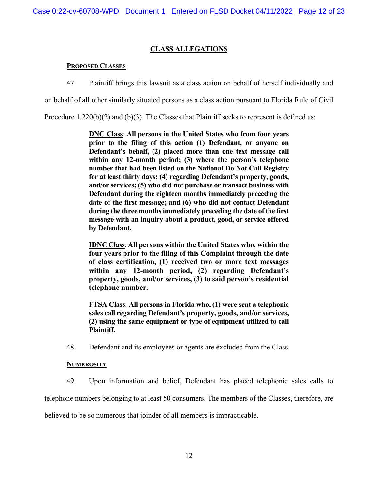# **CLASS ALLEGATIONS**

# **PROPOSED CLASSES**

47. Plaintiff brings this lawsuit as a class action on behalf of herself individually and

on behalf of all other similarly situated persons as a class action pursuant to Florida Rule of Civil

Procedure 1.220(b)(2) and (b)(3). The Classes that Plaintiff seeks to represent is defined as:

**DNC Class**: **All persons in the United States who from four years prior to the filing of this action (1) Defendant, or anyone on Defendant's behalf, (2) placed more than one text message call within any 12-month period; (3) where the person's telephone number that had been listed on the National Do Not Call Registry for at least thirty days; (4) regarding Defendant's property, goods, and/or services; (5) who did not purchase or transact business with Defendant during the eighteen months immediately preceding the date of the first message; and (6) who did not contact Defendant during the three months immediately preceding the date of the first message with an inquiry about a product, good, or service offered by Defendant.** 

**IDNC Class**: **All persons within the United States who, within the four years prior to the filing of this Complaint through the date of class certification, (1) received two or more text messages within any 12-month period, (2) regarding Defendant's property, goods, and/or services, (3) to said person's residential telephone number.**

**FTSA Class**: **All persons in Florida who, (1) were sent a telephonic sales call regarding Defendant's property, goods, and/or services, (2) using the same equipment or type of equipment utilized to call Plaintiff.** 

48. Defendant and its employees or agents are excluded from the Class.

## **NUMEROSITY**

49. Upon information and belief, Defendant has placed telephonic sales calls to

telephone numbers belonging to at least 50 consumers. The members of the Classes, therefore, are

believed to be so numerous that joinder of all members is impracticable.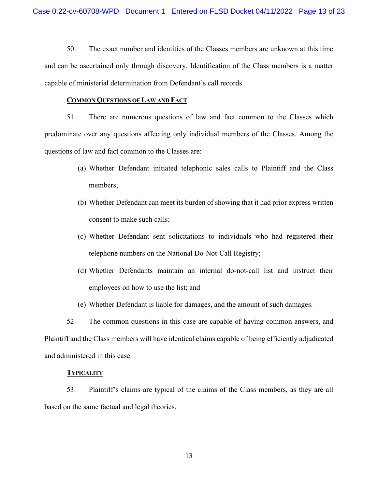50. The exact number and identities of the Classes members are unknown at this time and can be ascertained only through discovery. Identification of the Class members is a matter capable of ministerial determination from Defendant's call records.

#### **COMMON QUESTIONS OF LAW AND FACT**

51. There are numerous questions of law and fact common to the Classes which predominate over any questions affecting only individual members of the Classes. Among the questions of law and fact common to the Classes are:

- (a) Whether Defendant initiated telephonic sales calls to Plaintiff and the Class members;
- (b) Whether Defendant can meet its burden of showing that it had prior express written consent to make such calls;
- (c) Whether Defendant sent solicitations to individuals who had registered their telephone numbers on the National Do-Not-Call Registry;
- (d) Whether Defendants maintain an internal do-not-call list and instruct their employees on how to use the list; and
- (e) Whether Defendant is liable for damages, and the amount of such damages.

52. The common questions in this case are capable of having common answers, and Plaintiff and the Class members will have identical claims capable of being efficiently adjudicated and administered in this case.

## **TYPICALITY**

53. Plaintiff's claims are typical of the claims of the Class members, as they are all based on the same factual and legal theories.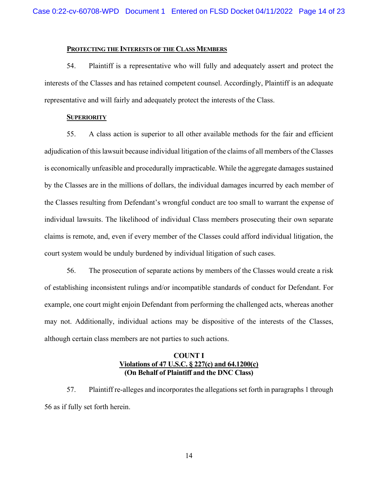#### **PROTECTING THE INTERESTS OF THE CLASS MEMBERS**

54. Plaintiff is a representative who will fully and adequately assert and protect the interests of the Classes and has retained competent counsel. Accordingly, Plaintiff is an adequate representative and will fairly and adequately protect the interests of the Class.

#### **SUPERIORITY**

55. A class action is superior to all other available methods for the fair and efficient adjudication of this lawsuit because individual litigation of the claims of all members of the Classes is economically unfeasible and procedurally impracticable. While the aggregate damages sustained by the Classes are in the millions of dollars, the individual damages incurred by each member of the Classes resulting from Defendant's wrongful conduct are too small to warrant the expense of individual lawsuits. The likelihood of individual Class members prosecuting their own separate claims is remote, and, even if every member of the Classes could afford individual litigation, the court system would be unduly burdened by individual litigation of such cases.

56. The prosecution of separate actions by members of the Classes would create a risk of establishing inconsistent rulings and/or incompatible standards of conduct for Defendant. For example, one court might enjoin Defendant from performing the challenged acts, whereas another may not. Additionally, individual actions may be dispositive of the interests of the Classes, although certain class members are not parties to such actions.

## **COUNT I Violations of 47 U.S.C. § 227(c) and 64.1200(c) (On Behalf of Plaintiff and the DNC Class)**

57. Plaintiff re-alleges and incorporates the allegations set forth in paragraphs 1 through 56 as if fully set forth herein.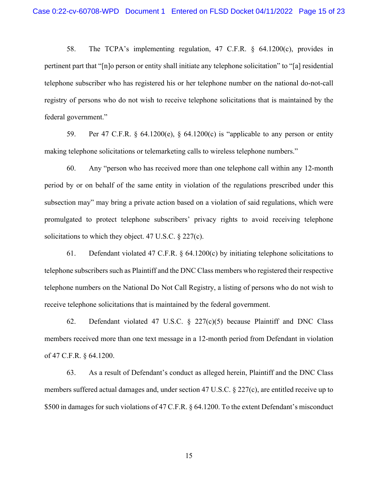58. The TCPA's implementing regulation, 47 C.F.R. § 64.1200(c), provides in pertinent part that "[n]o person or entity shall initiate any telephone solicitation" to "[a] residential telephone subscriber who has registered his or her telephone number on the national do-not-call registry of persons who do not wish to receive telephone solicitations that is maintained by the federal government."

59. Per 47 C.F.R. § 64.1200(e), § 64.1200(c) is "applicable to any person or entity making telephone solicitations or telemarketing calls to wireless telephone numbers."

60. Any "person who has received more than one telephone call within any 12-month period by or on behalf of the same entity in violation of the regulations prescribed under this subsection may" may bring a private action based on a violation of said regulations, which were promulgated to protect telephone subscribers' privacy rights to avoid receiving telephone solicitations to which they object. 47 U.S.C. § 227(c).

61. Defendant violated 47 C.F.R. § 64.1200(c) by initiating telephone solicitations to telephone subscribers such as Plaintiff and the DNC Class members who registered their respective telephone numbers on the National Do Not Call Registry, a listing of persons who do not wish to receive telephone solicitations that is maintained by the federal government.

62. Defendant violated 47 U.S.C.  $\S$  227(c)(5) because Plaintiff and DNC Class members received more than one text message in a 12-month period from Defendant in violation of 47 C.F.R. § 64.1200.

63. As a result of Defendant's conduct as alleged herein, Plaintiff and the DNC Class members suffered actual damages and, under section 47 U.S.C. § 227(c), are entitled receive up to \$500 in damages for such violations of 47 C.F.R. § 64.1200. To the extent Defendant's misconduct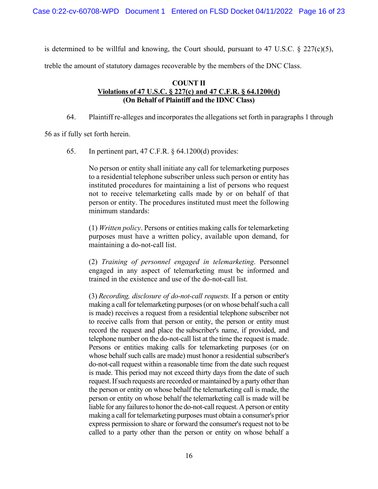is determined to be willful and knowing, the Court should, pursuant to 47 U.S.C.  $\S$  227(c)(5),

treble the amount of statutory damages recoverable by the members of the DNC Class.

# **COUNT II Violations of 47 U.S.C. § 227(c) and 47 C.F.R. § 64.1200(d) (On Behalf of Plaintiff and the IDNC Class)**

64. Plaintiff re-alleges and incorporates the allegations set forth in paragraphs 1 through

56 as if fully set forth herein.

65. In pertinent part, 47 C.F.R. § 64.1200(d) provides:

No person or entity shall initiate any call for telemarketing purposes to a residential telephone subscriber unless such person or entity has instituted procedures for maintaining a list of persons who request not to receive telemarketing calls made by or on behalf of that person or entity. The procedures instituted must meet the following minimum standards:

(1) *Written policy*. Persons or entities making calls for telemarketing purposes must have a written policy, available upon demand, for maintaining a do-not-call list.

(2) *Training of personnel engaged in telemarketing*. Personnel engaged in any aspect of telemarketing must be informed and trained in the existence and use of the do-not-call list.

(3) *Recording, disclosure of do-not-call requests.* If a person or entity making a call for telemarketing purposes (or on whose behalf such a call is made) receives a request from a residential telephone subscriber not to receive calls from that person or entity, the person or entity must record the request and place the subscriber's name, if provided, and telephone number on the do-not-call list at the time the request is made. Persons or entities making calls for telemarketing purposes (or on whose behalf such calls are made) must honor a residential subscriber's do-not-call request within a reasonable time from the date such request is made. This period may not exceed thirty days from the date of such request. If such requests are recorded or maintained by a party other than the person or entity on whose behalf the telemarketing call is made, the person or entity on whose behalf the telemarketing call is made will be liable for any failures to honor the do-not-call request. A person or entity making a call for telemarketing purposes must obtain a consumer's prior express permission to share or forward the consumer's request not to be called to a party other than the person or entity on whose behalf a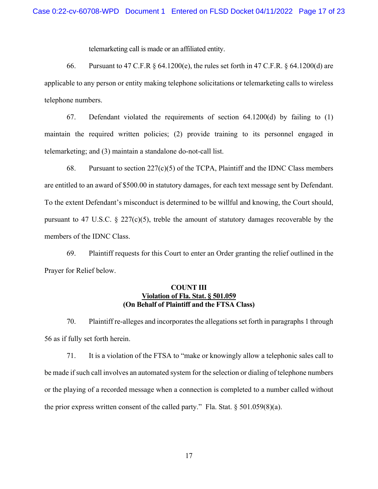telemarketing call is made or an affiliated entity.

66. Pursuant to 47 C.F.R  $\&$  64.1200(e), the rules set forth in 47 C.F.R.  $\&$  64.1200(d) are applicable to any person or entity making telephone solicitations or telemarketing calls to wireless telephone numbers.

67. Defendant violated the requirements of section 64.1200(d) by failing to (1) maintain the required written policies; (2) provide training to its personnel engaged in telemarketing; and (3) maintain a standalone do-not-call list.

68. Pursuant to section  $227(c)(5)$  of the TCPA, Plaintiff and the IDNC Class members are entitled to an award of \$500.00 in statutory damages, for each text message sent by Defendant. To the extent Defendant's misconduct is determined to be willful and knowing, the Court should, pursuant to 47 U.S.C.  $\S$  227(c)(5), treble the amount of statutory damages recoverable by the members of the IDNC Class.

69. Plaintiff requests for this Court to enter an Order granting the relief outlined in the Prayer for Relief below.

## **COUNT III Violation of Fla. Stat. § 501.059 (On Behalf of Plaintiff and the FTSA Class)**

70. Plaintiff re-alleges and incorporates the allegations set forth in paragraphs 1 through 56 as if fully set forth herein.

71. It is a violation of the FTSA to "make or knowingly allow a telephonic sales call to be made if such call involves an automated system for the selection or dialing of telephone numbers or the playing of a recorded message when a connection is completed to a number called without the prior express written consent of the called party." Fla. Stat.  $\S 501.059(8)(a)$ .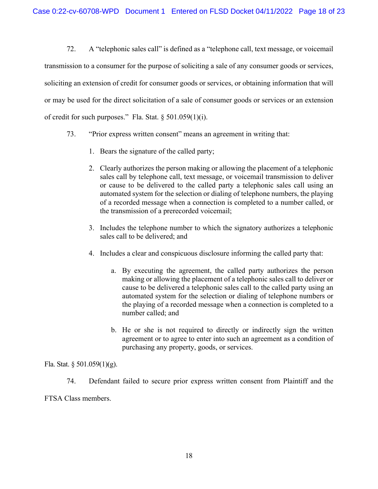72. A "telephonic sales call" is defined as a "telephone call, text message, or voicemail transmission to a consumer for the purpose of soliciting a sale of any consumer goods or services, soliciting an extension of credit for consumer goods or services, or obtaining information that will or may be used for the direct solicitation of a sale of consumer goods or services or an extension of credit for such purposes." Fla. Stat. § 501.059(1)(i).

- 73. "Prior express written consent" means an agreement in writing that:
	- 1. Bears the signature of the called party;
	- 2. Clearly authorizes the person making or allowing the placement of a telephonic sales call by telephone call, text message, or voicemail transmission to deliver or cause to be delivered to the called party a telephonic sales call using an automated system for the selection or dialing of telephone numbers, the playing of a recorded message when a connection is completed to a number called, or the transmission of a prerecorded voicemail;
	- 3. Includes the telephone number to which the signatory authorizes a telephonic sales call to be delivered; and
	- 4. Includes a clear and conspicuous disclosure informing the called party that:
		- a. By executing the agreement, the called party authorizes the person making or allowing the placement of a telephonic sales call to deliver or cause to be delivered a telephonic sales call to the called party using an automated system for the selection or dialing of telephone numbers or the playing of a recorded message when a connection is completed to a number called; and
		- b. He or she is not required to directly or indirectly sign the written agreement or to agree to enter into such an agreement as a condition of purchasing any property, goods, or services.

Fla. Stat. § 501.059(1)(g).

74. Defendant failed to secure prior express written consent from Plaintiff and the

FTSA Class members.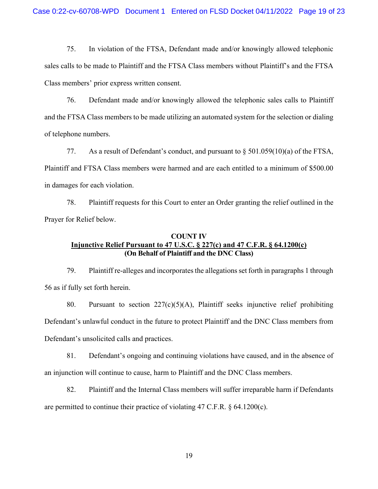75. In violation of the FTSA, Defendant made and/or knowingly allowed telephonic sales calls to be made to Plaintiff and the FTSA Class members without Plaintiff's and the FTSA Class members' prior express written consent.

76. Defendant made and/or knowingly allowed the telephonic sales calls to Plaintiff and the FTSA Class members to be made utilizing an automated system for the selection or dialing of telephone numbers.

77. As a result of Defendant's conduct, and pursuant to  $\S 501.059(10)(a)$  of the FTSA, Plaintiff and FTSA Class members were harmed and are each entitled to a minimum of \$500.00 in damages for each violation.

78. Plaintiff requests for this Court to enter an Order granting the relief outlined in the Prayer for Relief below.

# **COUNT IV Injunctive Relief Pursuant to 47 U.S.C. § 227(c) and 47 C.F.R. § 64.1200(c) (On Behalf of Plaintiff and the DNC Class)**

79. Plaintiff re-alleges and incorporates the allegations set forth in paragraphs 1 through 56 as if fully set forth herein.

80. Pursuant to section 227(c)(5)(A), Plaintiff seeks injunctive relief prohibiting Defendant's unlawful conduct in the future to protect Plaintiff and the DNC Class members from Defendant's unsolicited calls and practices.

81. Defendant's ongoing and continuing violations have caused, and in the absence of an injunction will continue to cause, harm to Plaintiff and the DNC Class members.

82. Plaintiff and the Internal Class members will suffer irreparable harm if Defendants are permitted to continue their practice of violating 47 C.F.R. § 64.1200(c).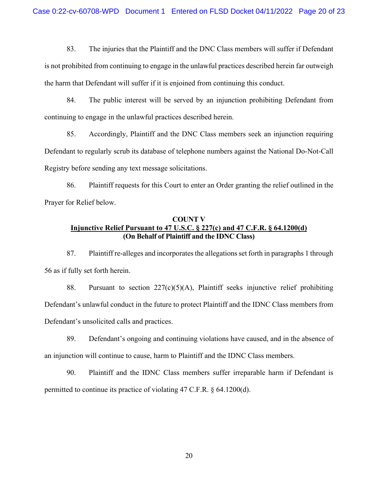83. The injuries that the Plaintiff and the DNC Class members will suffer if Defendant is not prohibited from continuing to engage in the unlawful practices described herein far outweigh the harm that Defendant will suffer if it is enjoined from continuing this conduct.

84. The public interest will be served by an injunction prohibiting Defendant from continuing to engage in the unlawful practices described herein.

85. Accordingly, Plaintiff and the DNC Class members seek an injunction requiring Defendant to regularly scrub its database of telephone numbers against the National Do-Not-Call Registry before sending any text message solicitations.

86. Plaintiff requests for this Court to enter an Order granting the relief outlined in the Prayer for Relief below.

# **COUNT V Injunctive Relief Pursuant to 47 U.S.C. § 227(c) and 47 C.F.R. § 64.1200(d) (On Behalf of Plaintiff and the IDNC Class)**

87. Plaintiff re-alleges and incorporates the allegations set forth in paragraphs 1 through 56 as if fully set forth herein.

88. Pursuant to section  $227(c)(5)(A)$ , Plaintiff seeks injunctive relief prohibiting Defendant's unlawful conduct in the future to protect Plaintiff and the IDNC Class members from Defendant's unsolicited calls and practices.

89. Defendant's ongoing and continuing violations have caused, and in the absence of an injunction will continue to cause, harm to Plaintiff and the IDNC Class members.

90. Plaintiff and the IDNC Class members suffer irreparable harm if Defendant is permitted to continue its practice of violating 47 C.F.R. § 64.1200(d).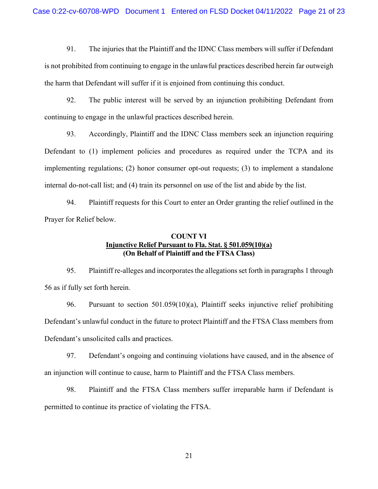91. The injuries that the Plaintiff and the IDNC Class members will suffer if Defendant is not prohibited from continuing to engage in the unlawful practices described herein far outweigh the harm that Defendant will suffer if it is enjoined from continuing this conduct.

92. The public interest will be served by an injunction prohibiting Defendant from continuing to engage in the unlawful practices described herein.

93. Accordingly, Plaintiff and the IDNC Class members seek an injunction requiring Defendant to (1) implement policies and procedures as required under the TCPA and its implementing regulations; (2) honor consumer opt-out requests; (3) to implement a standalone internal do-not-call list; and (4) train its personnel on use of the list and abide by the list.

94. Plaintiff requests for this Court to enter an Order granting the relief outlined in the Prayer for Relief below.

# **COUNT VI Injunctive Relief Pursuant to Fla. Stat. § 501.059(10)(a) (On Behalf of Plaintiff and the FTSA Class)**

95. Plaintiff re-alleges and incorporates the allegations set forth in paragraphs 1 through 56 as if fully set forth herein.

96. Pursuant to section 501.059(10)(a), Plaintiff seeks injunctive relief prohibiting Defendant's unlawful conduct in the future to protect Plaintiff and the FTSA Class members from Defendant's unsolicited calls and practices.

97. Defendant's ongoing and continuing violations have caused, and in the absence of an injunction will continue to cause, harm to Plaintiff and the FTSA Class members.

98. Plaintiff and the FTSA Class members suffer irreparable harm if Defendant is permitted to continue its practice of violating the FTSA.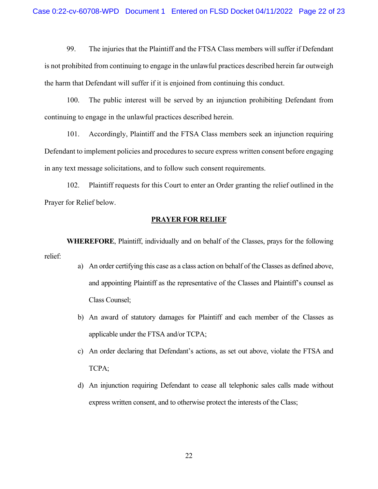99. The injuries that the Plaintiff and the FTSA Class members will suffer if Defendant is not prohibited from continuing to engage in the unlawful practices described herein far outweigh the harm that Defendant will suffer if it is enjoined from continuing this conduct.

100. The public interest will be served by an injunction prohibiting Defendant from continuing to engage in the unlawful practices described herein.

101. Accordingly, Plaintiff and the FTSA Class members seek an injunction requiring Defendant to implement policies and procedures to secure express written consent before engaging in any text message solicitations, and to follow such consent requirements.

102. Plaintiff requests for this Court to enter an Order granting the relief outlined in the Prayer for Relief below.

#### **PRAYER FOR RELIEF**

**WHEREFORE**, Plaintiff, individually and on behalf of the Classes, prays for the following relief:

- a) An order certifying this case as a class action on behalf of the Classes as defined above, and appointing Plaintiff as the representative of the Classes and Plaintiff's counsel as Class Counsel;
- b) An award of statutory damages for Plaintiff and each member of the Classes as applicable under the FTSA and/or TCPA;
- c) An order declaring that Defendant's actions, as set out above, violate the FTSA and TCPA;
- d) An injunction requiring Defendant to cease all telephonic sales calls made without express written consent, and to otherwise protect the interests of the Class;